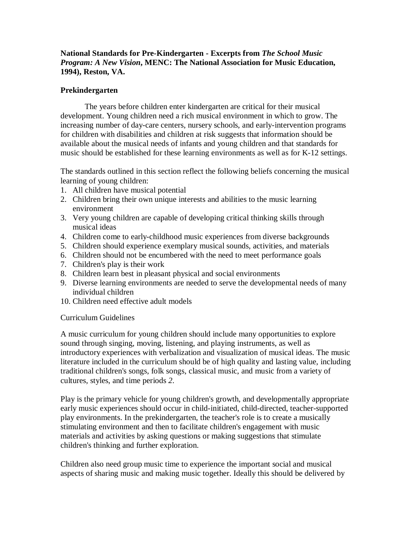### **National Standards for Pre-Kindergarten - Excerpts from** *The School Music Program: A New Vision***, MENC: The National Association for Music Education, 1994), Reston, VA.**

#### **Prekindergarten**

The years before children enter kindergarten are critical for their musical development. Young children need a rich musical environment in which to grow. The increasing number of day-care centers, nursery schools, and early-intervention programs for children with disabilities and children at risk suggests that information should be available about the musical needs of infants and young children and that standards for music should be established for these learning environments as well as for K-12 settings.

The standards outlined in this section reflect the following beliefs concerning the musical learning of young children:

- 1. All children have musical potential
- 2. Children bring their own unique interests and abilities to the music learning environment
- 3. Very young children are capable of developing critical thinking skills through musical ideas
- 4. Children come to early-childhood music experiences from diverse backgrounds
- 5. Children should experience exemplary musical sounds, activities, and materials
- 6. Children should not be encumbered with the need to meet performance goals
- 7. Children's play is their work
- 8. Children learn best in pleasant physical and social environments
- 9. Diverse learning environments are needed to serve the developmental needs of many individual children
- 10. Children need effective adult models

#### Curriculum Guidelines

A music curriculum for young children should include many opportunities to explore sound through singing, moving, listening, and playing instruments, as well as introductory experiences with verbalization and visualization of musical ideas. The music literature included in the curriculum should be of high quality and lasting value, including traditional children's songs, folk songs, classical music, and music from a variety of cultures, styles, and time periods *2*.

Play is the primary vehicle for young children's growth, and developmentally appropriate early music experiences should occur in child-initiated, child-directed, teacher-supported play environments. In the prekindergarten, the teacher's role is to create a musically stimulating environment and then to facilitate children's engagement with music materials and activities by asking questions or making suggestions that stimulate children's thinking and further exploration.

Children also need group music time to experience the important social and musical aspects of sharing music and making music together. Ideally this should be delivered by